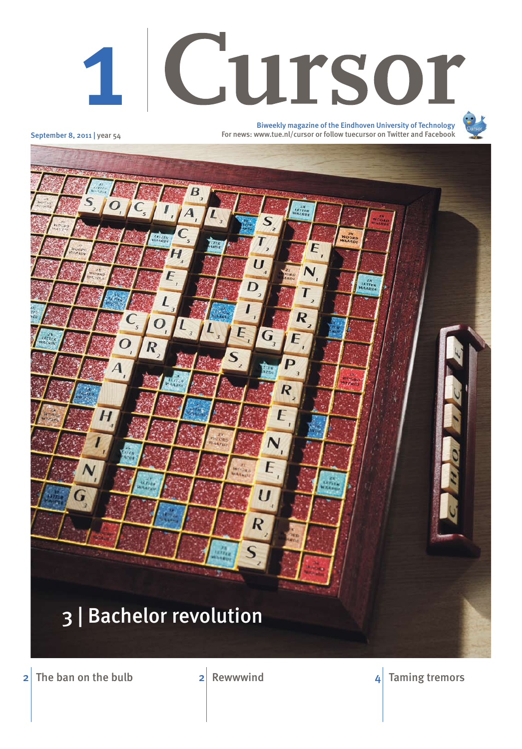# Cursor 1

September 8, 2011 | year 54



2 The ban on the bulb 2 Rewwwind  $\frac{2}{10}$  Rewwwind  $\frac{4}{10}$  Taming tremors

Biweekly magazine of the Eindhoven University of Technology For news: www.tue.nl/cursor or follow tuecursor on Twitter and Facebook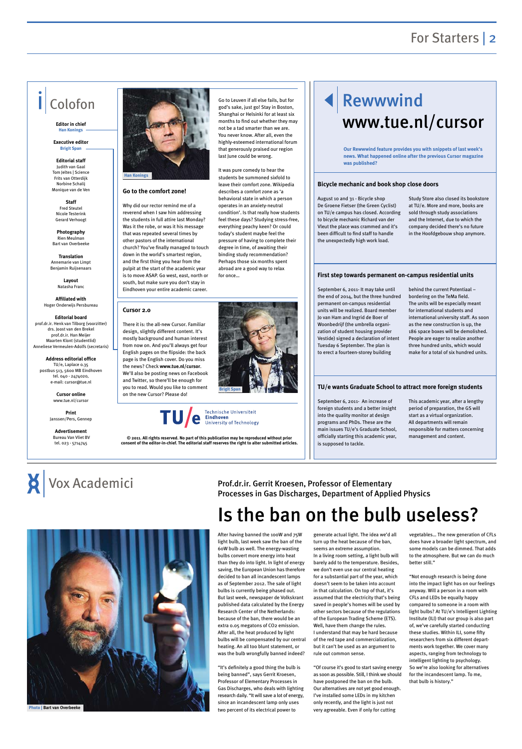## For Starters | 2

#### **Go to the comfort zone!**

Why did our rector remind me of a reverend when I saw him addressing the students in full attire last Monday? Was it the robe, or was it his message that was repeated several times by other pastors of the international church? You've finally managed to touch down in the world's smartest region, and the first thing you hear from the pulpit at the start of the academic year is to move ASAP. Go west, east, north or south, but make sure you don't stay in Eindhoven your entire academic career.

Go to Leuven if all else fails, but for god's sake, just go! Stay in Boston, Shanghai or Helsinki for at least six months to find out whether they may not be a tad smarter than we are. You never know. After all, even the highly-esteemed international forum that generously praised our region last June could be wrong.

It was pure comedy to hear the students be summoned sixfold to leave their comfort zone. Wikipedia describes a comfort zone as 'a behavioral state in which a person operates in an anxiety-neutral condition'. Is that really how students feel these days? Studying stress-free, everything peachy keen? Or could today's student maybe feel the pressure of having to complete their degree in time, of awaiting their binding study recommendation? Perhaps those six months spent abroad are a good way to relax

for once…



# Colofon

**Editor in chief Han Konings**

**Executive editor Brigit Span**

**Editorial staff** Judith van Gaal Tom Jeltes | Science Frits van Otterdijk Norbine Schalij Monique van de Ven

**Staff**  Fred Steutel Nicole Testerink Gerard Verhoogt

**Photography**  Rien Meulman Bart van Overbeeke

**Translation** Annemarie van Limpt Benjamin Ruijsenaars

> **Layout** Natasha Franc

**Affiliated with**  Hoger Onderwijs Persbureau

**Editorial board** prof.dr.ir. Henk van Tilborg (voorzitter) drs. Joost van den Brekel prof.dr.ir. Han Meijer Maarten Klont (studentlid) Anneliese Vermeulen-Adolfs (secretaris)

**Address editorial office** TU/e, Laplace 0.35 postbus 513, 5600 MB Eindhoven tel. 040 - 2474020, e-mail: cursor@tue.nl

> **Cursor online** www.tue.nl/cursor

**Print** Janssen/Pers, Gennep

**Advertisement** Bureau Van Vliet BV tel. 023 - 5714745

**© 2011. All rights reserved. No part of this publication may be reproduced without prior consent of the editor-in-chief. The editorial staff reserves the right to alter submitted articles.**





August 10 and 31 - Bicycle shop De Groene Fietser (the Green Cyclist) on TU/e campus has closed. According to bicycle mechanic Richard van der Vleut the place was crammed and it's been difficult to find staff to handle the unexpectedly high work load.

Study Store also closed its bookstore at TU/e. More and more, books are sold through study associations and the Internet, due to which the company decided there's no future in the Hoofdgebouw shop anymore.

September 6, 2011- It may take until the end of 2014, but the three hundred permanent on-campus residential units will be realized. Board member Jo van Ham and Ingrid de Boer of Woonbedrijf (the umbrella organization of student housing provider Vestide) signed a declaration of intent Tuesday 6 September. The plan is to erect a fourteen-storey building

behind the current Potentiaal – bordering on the TeMa field. The units will be especially meant for international students and international university staff. As soon as the new construction is up, the 186 space boxes will be demolished. People are eager to realize another three hundred units, which would make for a total of six hundred units.

September 6, 2011- An increase of foreign students and a better insight into the quality monitor at design programs and PhDs. These are the main issues TU/e's Graduate School, officially starting this academic year, is supposed to tackle.

This academic year, after a lengthy period of preparation, the GS will start as a virtual organization. All departments will remain responsible for matters concerning management and content.

### **Bicycle mechanic and book shop close doors**

#### **First step towards permanent on-campus residential units**

### **TU/e wants Graduate School to attract more foreign students**

After having banned the 100W and 75W light bulb, last week saw the ban of the 60W bulb as well. The energy-wasting bulbs convert more energy into heat than they do into light. In light of energy saving, the European Union has therefore decided to ban all incandescent lamps as of September 2012. The sale of light bulbs is currently being phased out. But last week, newspaper de Volkskrant published data calculated by the Energy Research Center of the Netherlands: because of the ban, there would be an extra 0.05 megatons of CO2 emission. After all, the heat produced by light bulbs will be compensated by our central heating. An all too blunt statement, or was the bulb wrongfully banned indeed?

"It's definitely a good thing the bulb is being banned", says Gerrit Kroesen, Professor of Elementary Processes in Gas Discharges, who deals with lighting research daily. "It will save a lot of energy, since an incandescent lamp only uses two percent of its electrical power to

generate actual light. The idea we'd all turn up the heat because of the ban, seems an extreme assumption. In a living room setting, a light bulb will barely add to the temperature. Besides, we don't even use our central heating

for a substantial part of the year, which doesn't seem to be taken into account in that calculation. On top of that, it's assumed that the electricity that's being saved in people's homes will be used by other sectors because of the regulations of the European Trading Scheme (ETS). Well, have them change the rules. I understand that may be hard because of the red tape and commercialization, but it can't be used as an argument to rule out common sense.

"Of course it's good to start saving energy as soon as possible. Still, I think we should have postponed the ban on the bulb. Our alternatives are not yet good enough. I've installed some LEDs in my kitchen only recently, and the light is just not very agreeable. Even if only for cutting

vegetables… The new generation of CFLs does have a broader light spectrum, and some models can be dimmed. That adds to the atmosphere. But we can do much better still."

"Not enough research is being done into the impact light has on our feelings anyway. Will a person in a room with CFLs and LEDs be equally happy compared to someone in a room with light bulbs? At TU/e's Intelligent Lighting Institute (ILI) that our group is also part of, we've carefully started conducting these studies. Within ILI, some fifty researchers from six different departments work together. We cover many aspects, ranging from technology to intelligent lighting to psychology. So we're also looking for alternatives for the incandescent lamp. To me, that bulb is history."





### Prof.dr.ir. Gerrit Kroesen, Professor of Elementary Processes in Gas Discharges, Department of Applied Physics

**Our Rewwwind feature provides you with snippets of last week's news. What happened online after the previous Cursor magazine was published?**

#### **Cursor 2.0**

There it is: the all-new Cursor. Familiar design, slightly different content. It's mostly background and human interest from now on. And you'll always get four English pages on the flipside: the back page is the English cover. Do you miss the news? Check **www.tue.nl/cursor**. We'll also be posting news on Facebook and Twitter, so there'll be enough for you to read. Would you like to comment on the new Cursor? Please do!



# Is the ban on the bulb useless?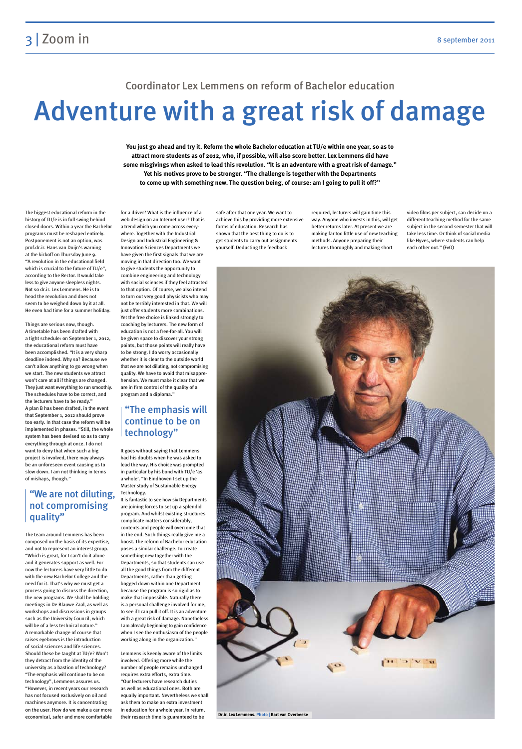# Adventure with a great risk of damage

### Coordinator Lex Lemmens on reform of Bachelor education

The biggest educational reform in the history of TU/e is in full swing behind closed doors. Within a year the Bachelor programs must be reshaped entirely. Postponement is not an option, was prof.dr.ir. Hans van Duijn's warning at the kickoff on Thursday June 9. "A revolution in the educational field which is crucial to the future of TU/e", according to the Rector. It would take less to give anyone sleepless nights. Not so dr.ir. Lex Lemmens. He is to head the revolution and does not seem to be weighed down by it at all. He even had time for a summer holiday.

Things are serious now, though. A timetable has been drafted with a tight schedule: on September 1, 2012, the educational reform must have been accomplished. "It is a very sharp deadline indeed. Why so? Because we can't allow anything to go wrong when we start. The new students we attract won't care at all if things are changed. They just want everything to run smoothly. The schedules have to be correct, and the lecturers have to be ready." A plan B has been drafted, in the event that September 1, 2012 should prove too early. In that case the reform will be implemented in phases. "Still, the whole system has been devised so as to carry everything through at once. I do not want to deny that when such a big project is involved, there may always be an unforeseen event causing us to slow down. I am not thinking in terms of mishaps, though."

The team around Lemmens has been composed on the basis of its expertise, and not to represent an interest group. "Which is great, for I can't do it alone and it generates support as well. For now the lecturers have very little to do

with the new Bachelor College and the need for it. That's why we must get a process going to discuss the direction, the new programs. We shall be holding meetings in De Blauwe Zaal, as well as workshops and discussions in groups such as the University Council, which will be of a less technical nature." A remarkable change of course that raises eyebrows is the introduction of social sciences and life sciences. Should these be taught at TU/e? Won't they detract from the identity of the university as a bastion of technology? "The emphasis will continue to be on technology", Lemmens assures us. "However, in recent years our research has not focused exclusively on oil and machines anymore. It is concentrating on the user. How do we make a car more economical, safer and more comfortable for a driver? What is the influence of a web design on an Internet user? That is a trend which you come across everywhere. Together with the Industrial Design and Industrial Engineering & Innovation Sciences Departments we have given the first signals that we are moving in that direction too. We want to give students the opportunity to combine engineering and technology with social sciences if they feel attracted to that option. Of course, we also intend to turn out very good physicists who may not be terribly interested in that. We will just offer students more combinations. Yet the free choice is linked strongly to coaching by lecturers. The new form of education is not a free-for-all. You will be given space to discover your strong points, but those points will really have to be strong. I do worry occasionally whether it is clear to the outside world that we are not diluting, not compromising quality. We have to avoid that misapprehension. We must make it clear that we are in firm control of the quality of a program and a diploma."

It goes without saying that Lemmens had his doubts when he was asked to lead the way. His choice was prompted in particular by his bond with TU/e 'as a whole'. "In Eindhoven I set up the Master study of Sustainable Energy Technology.

It is fantastic to see how six Departments are joining forces to set up a splendid program. And whilst existing structures complicate matters considerably, contents and people will overcome that in the end. Such things really give me a boost. The reform of Bachelor education poses a similar challenge. To create something new together with the Departments, so that students can use all the good things from the different Departments, rather than getting bogged down within one Department because the program is so rigid as to make that impossible. Naturally there is a personal challenge involved for me, to see if I can pull it off. It is an adventure with a great risk of damage. Nonetheless I am already beginning to gain confidence when I see the enthusiasm of the people working along in the organization."

Lemmens is keenly aware of the limits involved. Offering more while the number of people remains unchanged requires extra efforts, extra time. "Our lecturers have research duties as well as educational ones. Both are equally important. Nevertheless we shall ask them to make an extra investment in education for a whole year. In return, their research time is guaranteed to be

safe after that one year. We want to achieve this by providing more extensive forms of education. Research has shown that the best thing to do is to get students to carry out assignments yourself. Deducting the feedback

required, lecturers will gain time this way. Anyone who invests in this, will get better returns later. At present we are making far too little use of new teaching methods. Anyone preparing their lectures thoroughly and making short

video films per subject, can decide on a different teaching method for the same subject in the second semester that will take less time. Or think of social media like Hyves, where students can help each other out." (FvO)

**You just go ahead and try it. Reform the whole Bachelor education at TU/e within one year, so as to attract more students as of 2012, who, if possible, will also score better. Lex Lemmens did have some misgivings when asked to lead this revolution. "It is an adventure with a great risk of damage." Yet his motives prove to be stronger. "The challenge is together with the Departments to come up with something new. The question being, of course: am I going to pull it off?"**

## "The emphasis will continue to be on technology"

## "We are not diluting, not compromising quality"